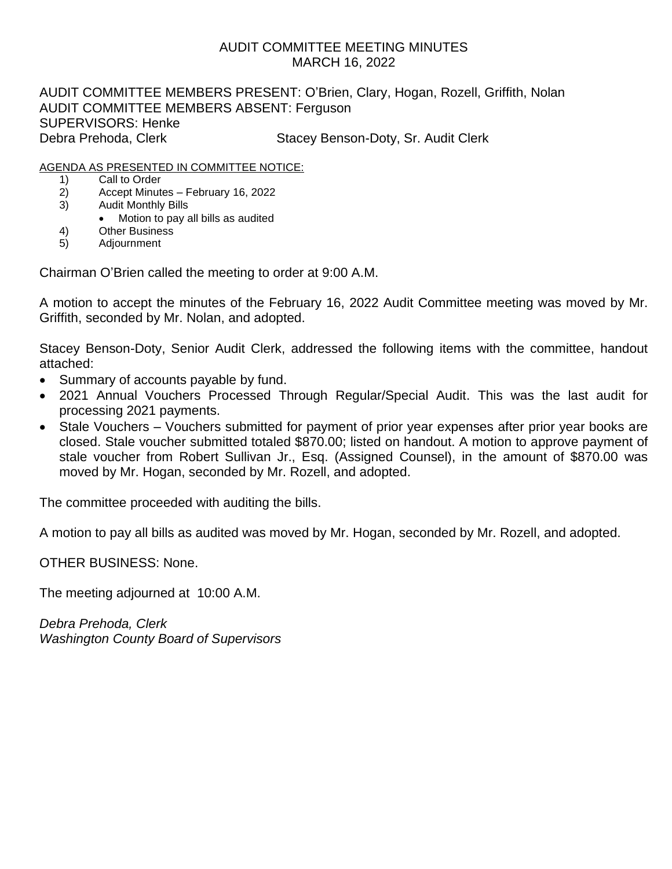# AUDIT COMMITTEE MEETING MINUTES MARCH 16, 2022

AUDIT COMMITTEE MEMBERS PRESENT: O'Brien, Clary, Hogan, Rozell, Griffith, Nolan AUDIT COMMITTEE MEMBERS ABSENT: Ferguson SUPERVISORS: Henke Debra Prehoda, Clerk Stacey Benson-Doty, Sr. Audit Clerk

## AGENDA AS PRESENTED IN COMMITTEE NOTICE:

- 1) Call to Order
- 2) Accept Minutes February 16, 2022
- 3) Audit Monthly Bills
	- Motion to pay all bills as audited
- 4) Other Business
- 5) Adjournment

Chairman O'Brien called the meeting to order at 9:00 A.M.

A motion to accept the minutes of the February 16, 2022 Audit Committee meeting was moved by Mr. Griffith, seconded by Mr. Nolan, and adopted.

Stacey Benson-Doty, Senior Audit Clerk, addressed the following items with the committee, handout attached:

- Summary of accounts payable by fund.
- 2021 Annual Vouchers Processed Through Regular/Special Audit. This was the last audit for processing 2021 payments.
- Stale Vouchers Vouchers submitted for payment of prior year expenses after prior year books are closed. Stale voucher submitted totaled \$870.00; listed on handout. A motion to approve payment of stale voucher from Robert Sullivan Jr., Esq. (Assigned Counsel), in the amount of \$870.00 was moved by Mr. Hogan, seconded by Mr. Rozell, and adopted.

The committee proceeded with auditing the bills.

A motion to pay all bills as audited was moved by Mr. Hogan, seconded by Mr. Rozell, and adopted.

OTHER BUSINESS: None.

The meeting adjourned at 10:00 A.M.

*Debra Prehoda, Clerk Washington County Board of Supervisors*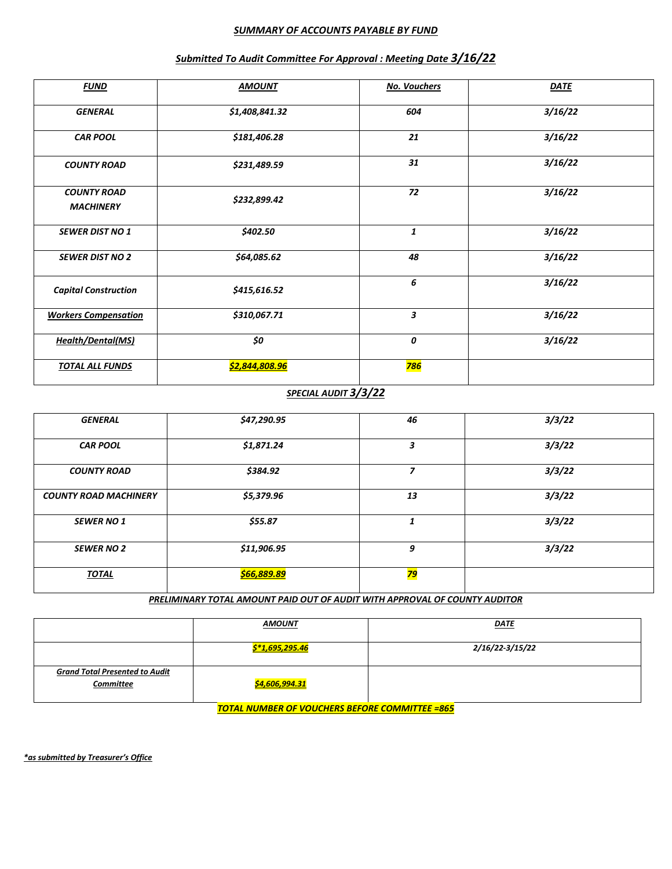### *SUMMARY OF ACCOUNTS PAYABLE BY FUND*

| <b>FUND</b>                            | <b>AMOUNT</b>  | <b>No. Vouchers</b> | <b>DATE</b> |
|----------------------------------------|----------------|---------------------|-------------|
| <b>GENERAL</b>                         | \$1,408,841.32 | 604                 | 3/16/22     |
| <b>CAR POOL</b>                        | \$181,406.28   | 21                  | 3/16/22     |
| <b>COUNTY ROAD</b>                     | \$231,489.59   | 31                  | 3/16/22     |
| <b>COUNTY ROAD</b><br><b>MACHINERY</b> | \$232,899.42   | 72                  | 3/16/22     |
| <b>SEWER DIST NO 1</b>                 | \$402.50       | 1                   | 3/16/22     |
| <b>SEWER DIST NO 2</b>                 | \$64,085.62    | 48                  | 3/16/22     |
| <b>Capital Construction</b>            | \$415,616.52   | 6                   | 3/16/22     |
| <b>Workers Compensation</b>            | \$310,067.71   | 3                   | 3/16/22     |
| <b>Health/Dental(MS)</b>               | \$0            | 0                   | 3/16/22     |
| <b>TOTAL ALL FUNDS</b>                 | \$2,844,808.96 | <b>786</b>          |             |

## *Submitted To Audit Committee For Approval : Meeting Date 3/16/22*

## *SPECIAL AUDIT 3/3/22*

| <b>GENERAL</b>               | \$47,290.95        | 46              | 3/3/22 |
|------------------------------|--------------------|-----------------|--------|
| <b>CAR POOL</b>              | \$1,871.24         | 3               | 3/3/22 |
| <b>COUNTY ROAD</b>           | \$384.92           | 7               | 3/3/22 |
| <b>COUNTY ROAD MACHINERY</b> | \$5,379.96         | 13              | 3/3/22 |
| <b>SEWER NO 1</b>            | \$55.87            | 1               | 3/3/22 |
| <b>SEWER NO 2</b>            | \$11,906.95        | 9               | 3/3/22 |
| <b>TOTAL</b>                 | <u>\$66,889.89</u> | <mark>79</mark> |        |

*PRELIMINARY TOTAL AMOUNT PAID OUT OF AUDIT WITH APPROVAL OF COUNTY AUDITOR*

|                                                    | <u>AMOUNT</u>         | <u>DATE</u>     |
|----------------------------------------------------|-----------------------|-----------------|
|                                                    | \$*1,695,295.46       | 2/16/22-3/15/22 |
| <b>Grand Total Presented to Audit</b><br>Committee | <u>\$4,606,994.31</u> |                 |

*TOTAL NUMBER OF VOUCHERS BEFORE COMMITTEE =865*

*\*as submitted by Treasurer's Office*